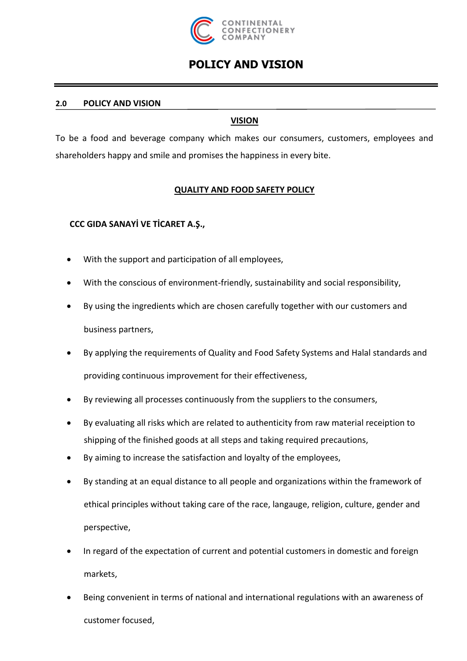

## **POLICY AND VISION**

#### **2.0 POLICY AND VISION**

#### **VISION**

To be a food and beverage company which makes our consumers, customers, employees and shareholders happy and smile and promises the happiness in every bite.

### **QUALITY AND FOOD SAFETY POLICY**

### **CCC GIDA SANAYİ VE TİCARET A.Ş.,**

- With the support and participation of all employees,
- With the conscious of environment-friendly, sustainability and social responsibility,
- By using the ingredients which are chosen carefully together with our customers and business partners,
- By applying the requirements of Quality and Food Safety Systems and Halal standards and providing continuous improvement for their effectiveness,
- By reviewing all processes continuously from the suppliers to the consumers,
- By evaluating all risks which are related to authenticity from raw material receiption to shipping of the finished goods at all steps and taking required precautions,
- By aiming to increase the satisfaction and loyalty of the employees,
- By standing at an equal distance to all people and organizations within the framework of ethical principles without taking care of the race, langauge, religion, culture, gender and perspective,
- In regard of the expectation of current and potential customers in domestic and foreign markets,
- Being convenient in terms of national and international regulations with an awareness of customer focused,